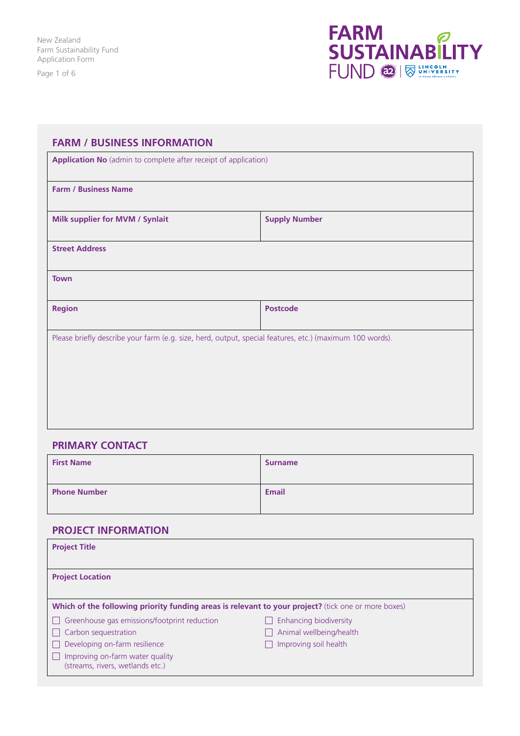Page 1 of 6



| <b>FARM / BUSINESS INFORMATION</b>                                                                       |                      |  |  |  |
|----------------------------------------------------------------------------------------------------------|----------------------|--|--|--|
| Application No (admin to complete after receipt of application)                                          |                      |  |  |  |
| <b>Farm / Business Name</b>                                                                              |                      |  |  |  |
| Milk supplier for MVM / Synlait                                                                          | <b>Supply Number</b> |  |  |  |
| <b>Street Address</b>                                                                                    |                      |  |  |  |
| <b>Town</b>                                                                                              |                      |  |  |  |
| <b>Region</b>                                                                                            | <b>Postcode</b>      |  |  |  |
| Please briefly describe your farm (e.g. size, herd, output, special features, etc.) (maximum 100 words). |                      |  |  |  |
|                                                                                                          |                      |  |  |  |
|                                                                                                          |                      |  |  |  |
|                                                                                                          |                      |  |  |  |
|                                                                                                          |                      |  |  |  |

# **PRIMARY CONTACT**

| <b>First Name</b>   | <b>Surname</b> |
|---------------------|----------------|
| <b>Phone Number</b> | <b>Email</b>   |

# **PROJECT INFORMATION**

| <b>Project Title</b>                                                                                |                         |  |  |  |
|-----------------------------------------------------------------------------------------------------|-------------------------|--|--|--|
| <b>Project Location</b>                                                                             |                         |  |  |  |
| Which of the following priority funding areas is relevant to your project? (tick one or more boxes) |                         |  |  |  |
| Greenhouse gas emissions/footprint reduction                                                        | Enhancing biodiversity  |  |  |  |
| Carbon sequestration                                                                                | Animal wellbeing/health |  |  |  |
| Developing on-farm resilience                                                                       | Improving soil health   |  |  |  |
| Improving on-farm water quality<br>(streams, rivers, wetlands etc.)                                 |                         |  |  |  |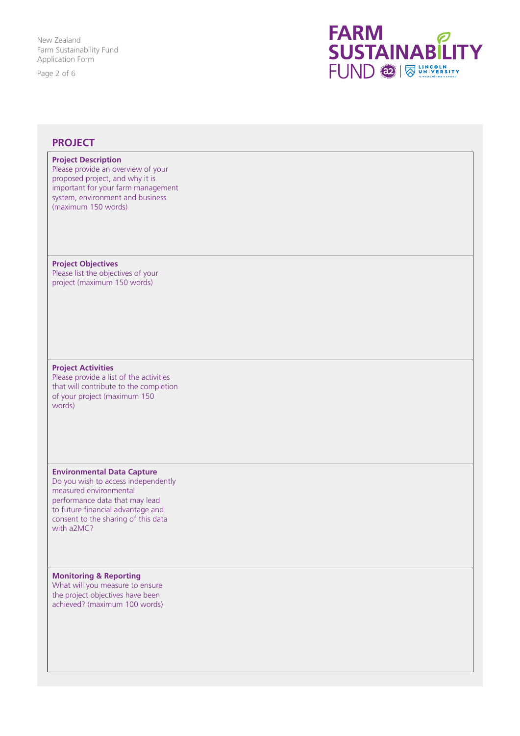Page 2 of 6



## **PROJECT**

### **Project Description**

Please provide an overview of your proposed project, and why it is important for your farm management system, environment and business (maximum 150 words)

#### **Project Objectives**

Please list the objectives of your project (maximum 150 words)

### **Project Activities**

Please provide a list of the activities that will contribute to the completion of your project (maximum 150 words)

#### **Environmental Data Capture**

Do you wish to access independently measured environmental performance data that may lead to future financial advantage and consent to the sharing of this data with a2MC?

### **Monitoring & Reporting**

What will you measure to ensure the project objectives have been achieved? (maximum 100 words)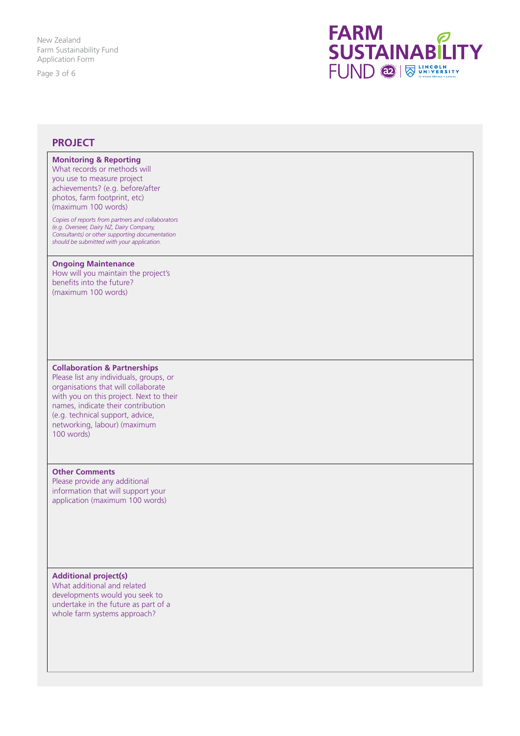Page 3 of 6



## **PROJECT**

## **Monitoring & Reporting**

What records or methods will you use to measure project achievements? (e.g. before/after photos, farm footprint, etc) (maximum 100 words)

*Copies of reports from partners and collaborators (e.g. Overseer, Dairy NZ, Dairy Company, Consultants) or other supporting documentation should be submitted with your application.*

#### **Ongoing Maintenance**

How will you maintain the project's benefits into the future? (maximum 100 words)

#### **Collaboration & Partnerships**

Please list any individuals, groups, or organisations that will collaborate with you on this project. Next to their names, indicate their contribution (e.g. technical support, advice, networking, labour) (maximum 100 words)

#### **Other Comments**

Please provide any additional information that will support your application (maximum 100 words)

#### **Additional project(s)** What additional and related

developments would you seek to undertake in the future as part of a whole farm systems approach?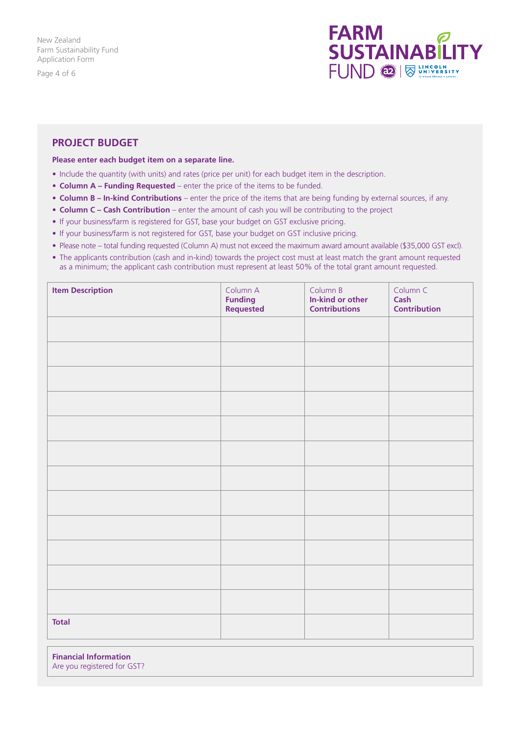Page 4 of 6



## **PROJECT BUDGET**

### **Please enter each budget item on a separate line.**

- Include the quantity (with units) and rates (price per unit) for each budget item in the description.
- **Column A Funding Requested** enter the price of the items to be funded.
- **Column B In-kind Contributions** enter the price of the items that are being funding by external sources, if any.
- **Column C Cash Contribution** enter the amount of cash you will be contributing to the project
- If your business/farm is registered for GST, base your budget on GST exclusive pricing.
- If your business/farm is not registered for GST, base your budget on GST inclusive pricing.
- Please note total funding requested (Column A) must not exceed the maximum award amount available (\$35,000 GST excl).
- The applicants contribution (cash and in-kind) towards the project cost must at least match the grant amount requested as a minimum; the applicant cash contribution must represent at least 50% of the total grant amount requested.

| <b>Item Description</b> | Column A<br><b>Funding<br/>Requested</b> | Column B<br>In-kind or other<br><b>Contributions</b> | Column C<br>Cash<br><b>Contribution</b> |
|-------------------------|------------------------------------------|------------------------------------------------------|-----------------------------------------|
|                         |                                          |                                                      |                                         |
|                         |                                          |                                                      |                                         |
|                         |                                          |                                                      |                                         |
|                         |                                          |                                                      |                                         |
|                         |                                          |                                                      |                                         |
|                         |                                          |                                                      |                                         |
|                         |                                          |                                                      |                                         |
|                         |                                          |                                                      |                                         |
|                         |                                          |                                                      |                                         |
|                         |                                          |                                                      |                                         |
|                         |                                          |                                                      |                                         |
|                         |                                          |                                                      |                                         |
| <b>Total</b>            |                                          |                                                      |                                         |
|                         |                                          |                                                      |                                         |

**Financial Information**  Are you registered for GST?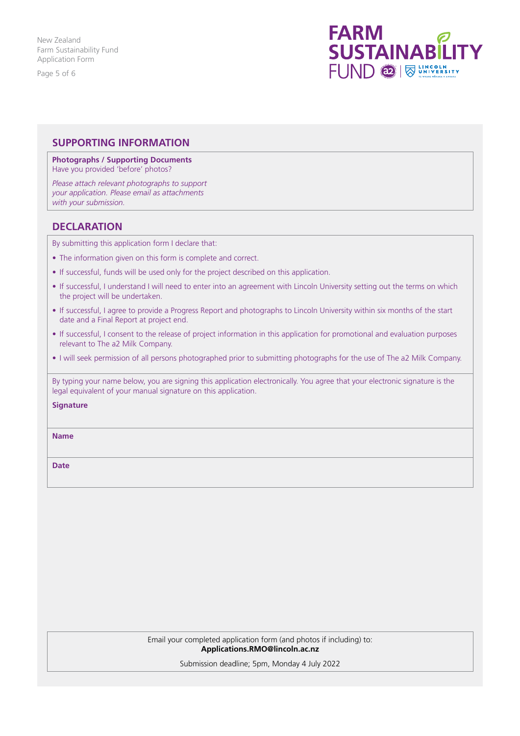Page 5 of 6



## **SUPPORTING INFORMATION**

#### **Photographs / Supporting Documents** Have you provided 'before' photos?

*Please attach relevant photographs to support your application. Please email as attachments with your submission.*

## **DECLARATION**

By submitting this application form I declare that:

- The information given on this form is complete and correct.
- If successful, funds will be used only for the project described on this application.
- If successful, I understand I will need to enter into an agreement with Lincoln University setting out the terms on which the project will be undertaken.
- If successful, I agree to provide a Progress Report and photographs to Lincoln University within six months of the start date and a Final Report at project end.
- If successful, I consent to the release of project information in this application for promotional and evaluation purposes relevant to The a2 Milk Company.
- I will seek permission of all persons photographed prior to submitting photographs for the use of The a2 Milk Company.

By typing your name below, you are signing this application electronically. You agree that your electronic signature is the legal equivalent of your manual signature on this application.

### **Signature**

**Name**

**Date**

Email your completed application form (and photos if including) to: **Applications.RMO@lincoln.ac.nz**

Submission deadline; 5pm, Monday 4 July 2022